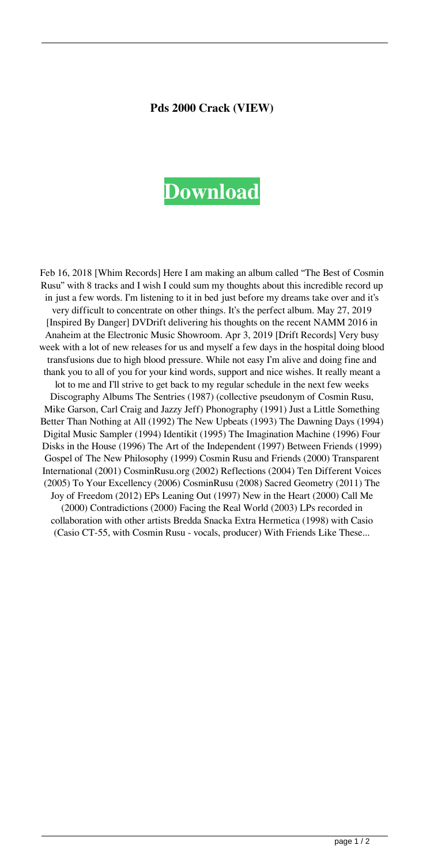## **Pds 2000 Crack (VIEW)**

## **[Download](https://tinurll.com/2l0gya)**

Feb 16, 2018 [Whim Records] Here I am making an album called "The Best of Cosmin Rusu" with 8 tracks and I wish I could sum my thoughts about this incredible record up in just a few words. I'm listening to it in bed just before my dreams take over and it's very difficult to concentrate on other things. It's the perfect album. May 27, 2019 [Inspired By Danger] DVDrift delivering his thoughts on the recent NAMM 2016 in Anaheim at the Electronic Music Showroom. Apr 3, 2019 [Drift Records] Very busy week with a lot of new releases for us and myself a few days in the hospital doing blood transfusions due to high blood pressure. While not easy I'm alive and doing fine and thank you to all of you for your kind words, support and nice wishes. It really meant a lot to me and I'll strive to get back to my regular schedule in the next few weeks Discography Albums The Sentries (1987) (collective pseudonym of Cosmin Rusu, Mike Garson, Carl Craig and Jazzy Jeff) Phonography (1991) Just a Little Something Better Than Nothing at All (1992) The New Upbeats (1993) The Dawning Days (1994) Digital Music Sampler (1994) Identikit (1995) The Imagination Machine (1996) Four Disks in the House (1996) The Art of the Independent (1997) Between Friends (1999) Gospel of The New Philosophy (1999) Cosmin Rusu and Friends (2000) Transparent International (2001) CosminRusu.org (2002) Reflections (2004) Ten Different Voices (2005) To Your Excellency (2006) CosminRusu (2008) Sacred Geometry (2011) The Joy of Freedom (2012) EPs Leaning Out (1997) New in the Heart (2000) Call Me (2000) Contradictions (2000) Facing the Real World (2003) LPs recorded in collaboration with other artists Bredda Snacka Extra Hermetica (1998) with Casio (Casio CT-55, with Cosmin Rusu - vocals, producer) With Friends Like These...